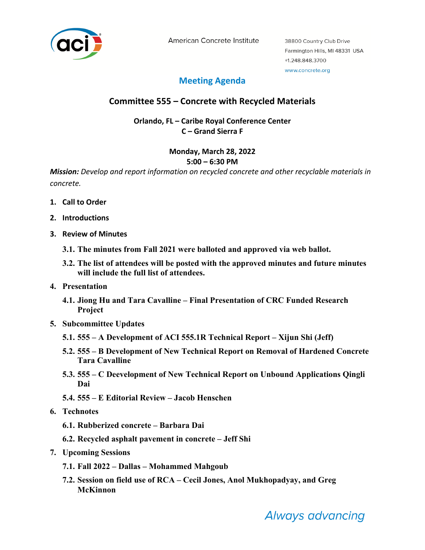

American Concrete Institute

## **Meeting Agenda**

## **Committee 555 – Concrete with Recycled Materials**

**Orlando, FL – Caribe Royal Conference Center C – Grand Sierra F**

# **Monday, March 28, 2022**

### **5:00 – 6:30 PM**

*Mission: Develop and report information on recycled concrete and other recyclable materials in concrete.*

- **1. Call to Order**
- **2. Introductions**
- **3. Review of Minutes**
	- **3.1. The minutes from Fall 2021 were balloted and approved via web ballot.**
	- **3.2. The list of attendees will be posted with the approved minutes and future minutes will include the full list of attendees.**
- **4. Presentation**
	- **4.1. Jiong Hu and Tara Cavalline – Final Presentation of CRC Funded Research Project**
- **5. Subcommittee Updates**
	- **5.1. 555 – A Development of ACI 555.1R Technical Report – Xijun Shi (Jeff)**
	- **5.2. 555 – B Development of New Technical Report on Removal of Hardened Concrete Tara Cavalline**
	- **5.3. 555 – C Deevelopment of New Technical Report on Unbound Applications Qingli Dai**
	- **5.4. 555 – E Editorial Review – Jacob Henschen**
- **6. Technotes**
	- **6.1. Rubberized concrete – Barbara Dai**
	- **6.2. Recycled asphalt pavement in concrete – Jeff Shi**
- **7. Upcoming Sessions**
	- **7.1. Fall 2022 – Dallas – Mohammed Mahgoub**
	- **7.2. Session on field use of RCA – Cecil Jones, Anol Mukhopadyay, and Greg McKinnon**